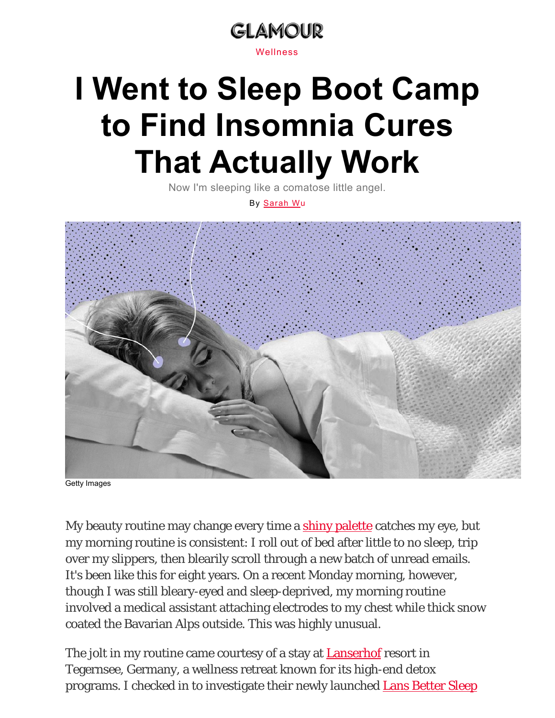

# **I Went to Sleep Boot Camp to Find Insomnia Cures That Actually Work**

Now I'm sleeping like a comatose little angel.

By Sarah Wu



Getty Images

My beauty routine may change every time a shiny palette catches my eye, but my morning routine is consistent: I roll out of bed after little to no sleep, trip over my slippers, then blearily scroll through a new batch of unread emails. It's been like this for eight years. On a recent Monday morning, however, though I was still bleary-eyed and sleep-deprived, my morning routine involved a medical assistant attaching electrodes to my chest while thick snow coated the Bavarian Alps outside. This was highly unusual.

The jolt in my routine came courtesy of a stay at **Lanserhof** resort in Tegernsee, Germany, a wellness retreat known for its high-end detox programs. I checked in to investigate their newly launched **Lans Better Sleep**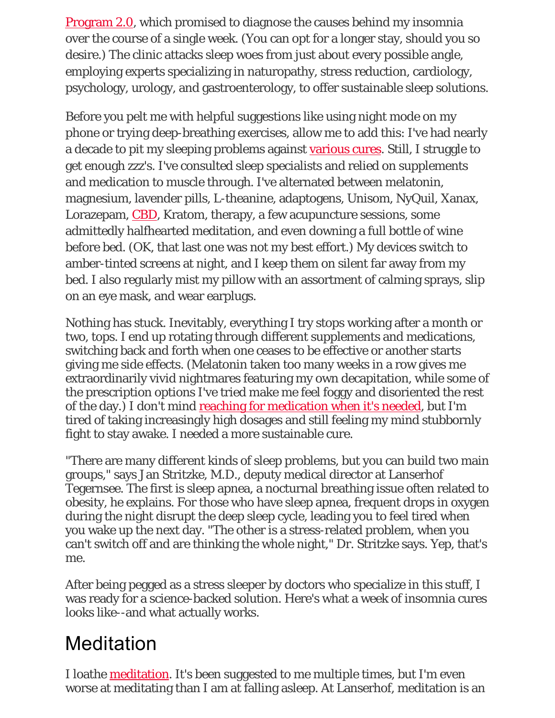Program 2.0, which promised to diagnose the causes behind my insomnia over the course of a single week. (You can opt for a longer stay, should you so desire.) The clinic attacks sleep woes from just about every possible angle, employing experts specializing in naturopathy, stress reduction, cardiology, psychology, urology, and gastroenterology, to offer sustainable sleep solutions.

Before you pelt me with helpful suggestions like using night mode on my phone or trying deep-breathing exercises, allow me to add this: I've had nearly a decade to pit my sleeping problems against various cures. Still, I struggle to get enough zzz's. I've consulted sleep specialists and relied on supplements and medication to muscle through. I've alternated between melatonin, magnesium, lavender pills, L-theanine, adaptogens, Unisom, NyQuil, Xanax, Lorazepam, CBD, Kratom, therapy, a few acupuncture sessions, some admittedly halfhearted meditation, and even downing a full bottle of wine before bed. (OK, that last one was not my best effort.) My devices switch to amber-tinted screens at night, and I keep them on silent far away from my bed. I also regularly mist my pillow with an assortment of calming sprays, slip on an eye mask, and wear earplugs.

Nothing has stuck. Inevitably, everything I try stops working after a month or two, tops. I end up rotating through different supplements and medications, switching back and forth when one ceases to be effective or another starts giving me side effects. (Melatonin taken too many weeks in a row gives me extraordinarily vivid nightmares featuring my own decapitation, while some of the prescription options I've tried make me feel foggy and disoriented the rest of the day.) I don't mind reaching for medication when it's needed, but I'm tired of taking increasingly high dosages and still feeling my mind stubbornly fight to stay awake. I needed a more sustainable cure.

"There are many different kinds of sleep problems, but you can build two main groups," says Jan Stritzke, M.D., deputy medical director at Lanserhof Tegernsee. The first is sleep apnea, a nocturnal breathing issue often related to obesity, he explains. For those who have sleep apnea, frequent drops in oxygen during the night disrupt the deep sleep cycle, leading you to feel tired when you wake up the next day. "The other is a stress-related problem, when you can't switch off and are thinking the whole night," Dr. Stritzke says. Yep, that's me.

After being pegged as a stress sleeper by doctors who specialize in this stuff, I was ready for a science-backed solution. Here's what a week of insomnia cures looks like--and what actually works.

#### **Meditation**

I loathe <u>meditation</u>. It's been suggested to me multiple times, but I'm even worse at meditating than I am at falling asleep. At Lanserhof, meditation is an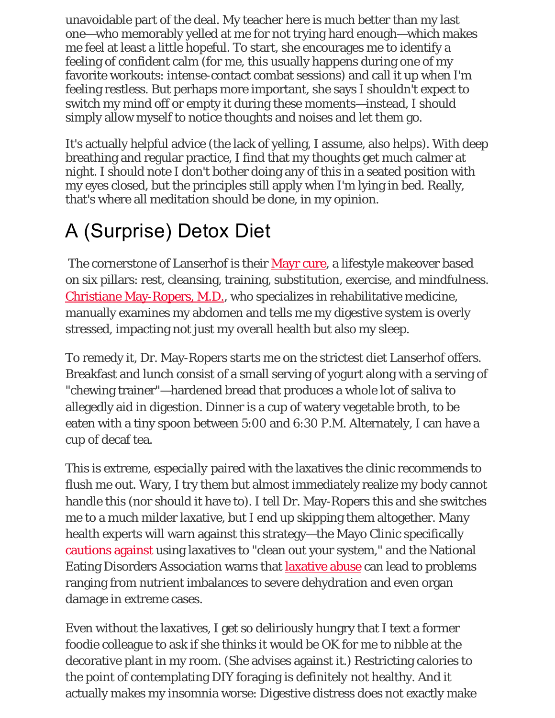unavoidable part of the deal. My teacher here is much better than my last one—who memorably yelled at me for not trying hard enough—which makes me feel at least a little hopeful. To start, she encourages me to identify a feeling of confident calm (for me, this usually happens during one of my favorite workouts: intense-contact combat sessions) and call it up when I'm feeling restless. But perhaps more important, she says I shouldn't expect to switch my mind off or empty it during these moments—instead, I should simply allow myself to notice thoughts and noises and let them go.

It's actually helpful advice (the lack of yelling, I assume, also helps). With deep breathing and regular practice, I find that my thoughts get much calmer at night. I should note I don't bother doing any of this in a seated position with my eyes closed, but the principles still apply when I'm lying in bed. Really, that's where all meditation should be done, in my opinion.

# A (Surprise) Detox Diet

The cornerstone of Lanserhof is their Mayr cure, a lifestyle makeover based on six pillars: rest, cleansing, training, substitution, exercise, and mindfulness. Christiane May-Ropers, M.D., who specializes in rehabilitative medicine, manually examines my abdomen and tells me my digestive system is overly stressed, impacting not just my overall health but also my sleep.

To remedy it, Dr. May-Ropers starts me on the strictest diet Lanserhof offers. Breakfast and lunch consist of a small serving of yogurt along with a serving of "chewing trainer"—hardened bread that produces a whole lot of saliva to allegedly aid in digestion. Dinner is a cup of watery vegetable broth, to be eaten with a tiny spoon between 5:00 and 6:30 P.M. Alternately, I can have a cup of decaf tea.

This is extreme, *especially* paired with the laxatives the clinic recommends to flush me out. Wary, I try them but almost immediately realize my body cannot handle this (nor should it have to). I tell Dr. May-Ropers this and she switches me to a much milder laxative, but I end up skipping them altogether. Many health experts will warn against this strategy—the Mayo Clinic specifically cautions against using laxatives to "clean out your system," and the National Eating Disorders Association warns that laxative abuse can lead to problems ranging from nutrient imbalances to severe dehydration and even organ damage in extreme cases.

Even without the laxatives, I get so deliriously hungry that I text a former foodie colleague to ask if she thinks it would be OK for me to nibble at the decorative plant in my room. (She advises against it.) Restricting calories to the point of contemplating DIY foraging is *definitely* not healthy. And it actually makes my insomnia worse: Digestive distress does not exactly make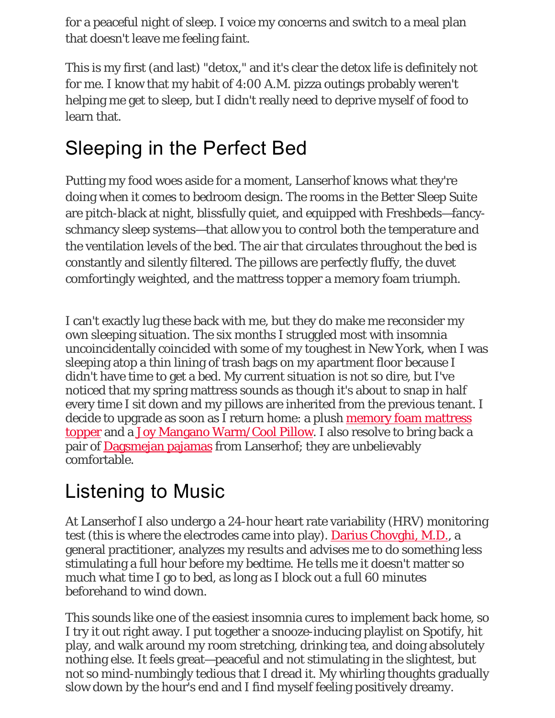for a peaceful night of sleep. I voice my concerns and switch to a meal plan that doesn't leave me feeling faint.

This is my first (and last) "detox," and it's clear the detox life is definitely not for me. I know that my habit of 4:00 A.M. pizza outings probably weren't helping me get to sleep, but I didn't really need to deprive myself of food to learn that.

#### Sleeping in the Perfect Bed

Putting my food woes aside for a moment, Lanserhof knows what they're doing when it comes to bedroom design. The rooms in the Better Sleep Suite are pitch-black at night, blissfully quiet, and equipped with Freshbeds—fancyschmancy sleep systems—that allow you to control both the temperature and the ventilation levels of the bed. The air that circulates throughout the bed is constantly and silently filtered. The pillows are perfectly fluffy, the duvet comfortingly weighted, and the mattress topper a memory foam triumph.

I can't exactly lug these back with me, but they do make me reconsider my own sleeping situation. The six months I struggled most with insomnia uncoincidentally coincided with some of my toughest in New York, when I was sleeping atop a thin lining of trash bags on my apartment floor because I didn't have time to get a bed. My current situation is not so dire, but I've noticed that my spring mattress sounds as though it's about to snap in half every time I sit down and my pillows are inherited from the previous tenant. I decide to upgrade as soon as I return home: a plush memory foam mattress topper and a Joy Mangano Warm/Cool Pillow. I also resolve to bring back a pair of **Dagsmejan pajamas** from Lanserhof; they are unbelievably comfortable.

# Listening to Music

At Lanserhof I also undergo a 24-hour heart rate variability (HRV) monitoring test (this is where the electrodes came into play). Darius Chovghi, M.D., a general practitioner, analyzes my results and advises me to do something less stimulating a full hour before my bedtime. He tells me it doesn't matter so much what time I go to bed, as long as I block out a full 60 minutes beforehand to wind down.

This sounds like one of the easiest insomnia cures to implement back home, so I try it out right away. I put together a snooze-inducing playlist on Spotify, hit play, and walk around my room stretching, drinking tea, and doing absolutely nothing else. It feels great—peaceful and not stimulating in the slightest, but not so mind-numbingly tedious that I dread it. My whirling thoughts gradually slow down by the hour's end and I find myself feeling positively dreamy.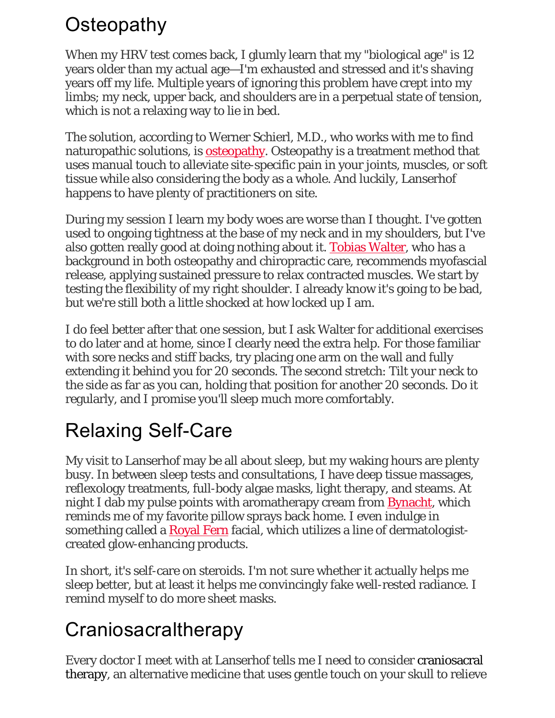## **Osteopathy**

When my HRV test comes back, I glumly learn that my "biological age" is 12 years older than my actual age—I'm exhausted and stressed and it's shaving years off my life. Multiple years of ignoring this problem have crept into my limbs; my neck, upper back, and shoulders are in a perpetual state of tension, which is not a relaxing way to lie in bed.

The solution, according to Werner Schierl, M.D., who works with me to find naturopathic solutions, is **osteopathy**. Osteopathy is a treatment method that uses manual touch to alleviate site-specific pain in your joints, muscles, or soft tissue while also considering the body as a whole. And luckily, Lanserhof happens to have plenty of practitioners on site.

During my session I learn my body woes are worse than I thought. I've gotten used to ongoing tightness at the base of my neck and in my shoulders, but I've also gotten really good at doing nothing about it. Tobias Walter, who has a background in both osteopathy and chiropractic care, recommends myofascial release, applying sustained pressure to relax contracted muscles. We start by testing the flexibility of my right shoulder. I already know it's going to be bad, but we're still both a little shocked at how locked up I am.

I do feel better after that one session, but I ask Walter for additional exercises to do later and at home, since I clearly need the extra help. For those familiar with sore necks and stiff backs, try placing one arm on the wall and fully extending it behind you for 20 seconds. The second stretch: Tilt your neck to the side as far as you can, holding that position for another 20 seconds. Do it regularly, and I promise you'll sleep much more comfortably.

# Relaxing Self-Care

My visit to Lanserhof may be all about sleep, but my waking hours are plenty busy. In between sleep tests and consultations, I have deep tissue massages, reflexology treatments, full-body algae masks, light therapy, and steams. At night I dab my pulse points with aromatherapy cream from Bynacht, which reminds me of my favorite pillow sprays back home. I even indulge in something called a Royal Fern facial, which utilizes a line of dermatologistcreated glow-enhancing products.

In short, it's self-care on steroids. I'm not sure whether it actually helps me sleep better, but at least it helps me convincingly fake well-rested radiance. I remind myself to do more sheet masks.

#### **Craniosacraltherapy**

Every doctor I meet with at Lanserhof tells me I need to consider craniosacral therapy, an alternative medicine that uses gentle touch on your skull to relieve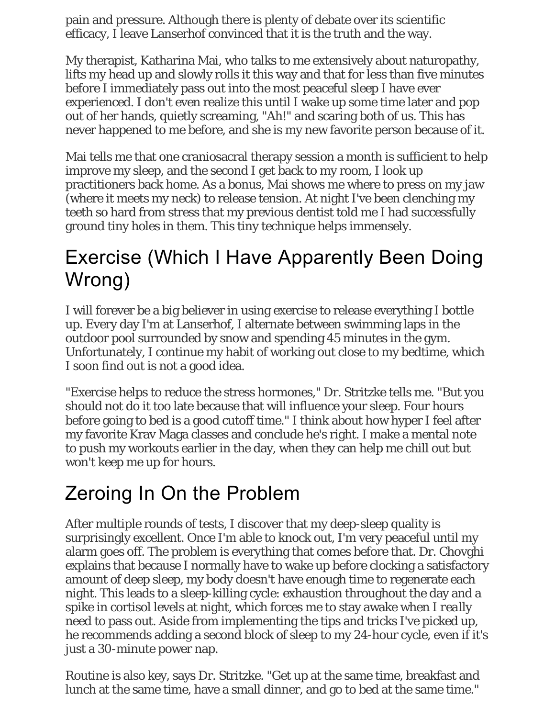pain and pressure. Although there is plenty of debate over its scientific efficacy, I leave Lanserhof convinced that it is the truth and the way.

My therapist, Katharina Mai, who talks to me extensively about naturopathy, lifts my head up and slowly rolls it this way and that for less than five minutes before I immediately pass out into the most peaceful sleep I have ever experienced. I don't even realize this until I wake up some time later and pop out of her hands, quietly screaming, "Ah!" and scaring both of us. This has never happened to me before, and she is my new favorite person because of it.

Mai tells me that one craniosacral therapy session a month is sufficient to help improve my sleep, and the second I get back to my room, I look up practitioners back home. As a bonus, Mai shows me where to press on my jaw (where it meets my neck) to release tension. At night I've been clenching my teeth so hard from stress that my previous dentist told me I had successfully ground tiny holes in them. This tiny technique helps immensely.

## Exercise (Which I Have Apparently Been Doing Wrong)

I will forever be a big believer in using exercise to release everything I bottle up. Every day I'm at Lanserhof, I alternate between swimming laps in the outdoor pool surrounded by snow and spending 45 minutes in the gym. Unfortunately, I continue my habit of working out close to my bedtime, which I soon find out is not a good idea.

"Exercise helps to reduce the stress hormones," Dr. Stritzke tells me. "But you should not do it too late because that will influence your sleep. Four hours before going to bed is a good cutoff time." I think about how hyper I feel after my favorite Krav Maga classes and conclude he's right. I make a mental note to push my workouts earlier in the day, when they can help me chill out but won't keep me up for hours.

# Zeroing In On the Problem

After multiple rounds of tests, I discover that my deep-sleep quality is surprisingly excellent. Once I'm able to knock out, I'm very peaceful until my alarm goes off. The problem is everything that comes before that. Dr. Chovghi explains that because I normally have to wake up before clocking a satisfactory amount of deep sleep, my body doesn't have enough time to regenerate each night. This leads to a sleep-killing cycle: exhaustion throughout the day and a spike in cortisol levels at night, which forces me to stay awake when I *really* need to pass out. Aside from implementing the tips and tricks I've picked up, he recommends adding a second block of sleep to my 24-hour cycle, even if it's just a 30-minute power nap.

Routine is also key, says Dr. Stritzke. "Get up at the same time, breakfast and lunch at the same time, have a small dinner, and go to bed at the same time."